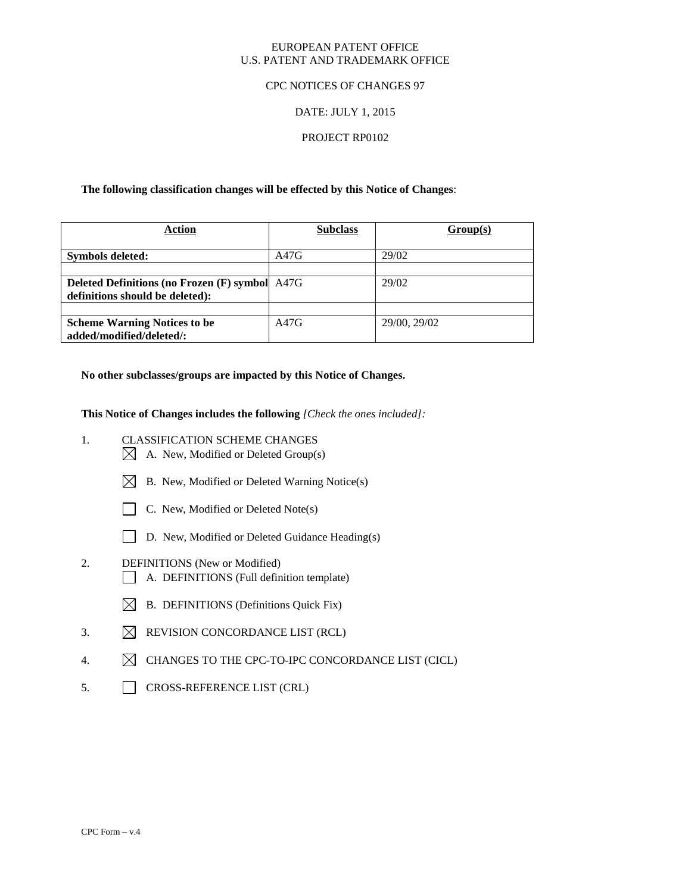### EUROPEAN PATENT OFFICE U.S. PATENT AND TRADEMARK OFFICE

### CPC NOTICES OF CHANGES 97

# DATE: JULY 1, 2015

# PROJECT RP0102

### **The following classification changes will be effected by this Notice of Changes**:

| <b>Action</b>                                                                            | <b>Subclass</b> | Group(s)     |
|------------------------------------------------------------------------------------------|-----------------|--------------|
| Symbols deleted:                                                                         | A47G            | 29/02        |
| <b>Deleted Definitions (no Frozen (F) symbol</b> A47G<br>definitions should be deleted): |                 | 29/02        |
| <b>Scheme Warning Notices to be</b><br>added/modified/deleted/:                          | A47G            | 29/00, 29/02 |

**No other subclasses/groups are impacted by this Notice of Changes.**

**This Notice of Changes includes the following** *[Check the ones included]:*

- 1. CLASSIFICATION SCHEME CHANGES
	- $\boxtimes$  A. New, Modified or Deleted Group(s)
	- $\boxtimes$  B. New, Modified or Deleted Warning Notice(s)
	- $\Box$  C. New, Modified or Deleted Note(s)
	- D. New, Modified or Deleted Guidance Heading(s)
- 2. DEFINITIONS (New or Modified) A. DEFINITIONS (Full definition template)
	- $\boxtimes$  B. DEFINITIONS (Definitions Quick Fix)
- 3.  $\boxtimes$  REVISION CONCORDANCE LIST (RCL)
- 4.  $\boxtimes$  CHANGES TO THE CPC-TO-IPC CONCORDANCE LIST (CICL)
- 5. CROSS-REFERENCE LIST (CRL)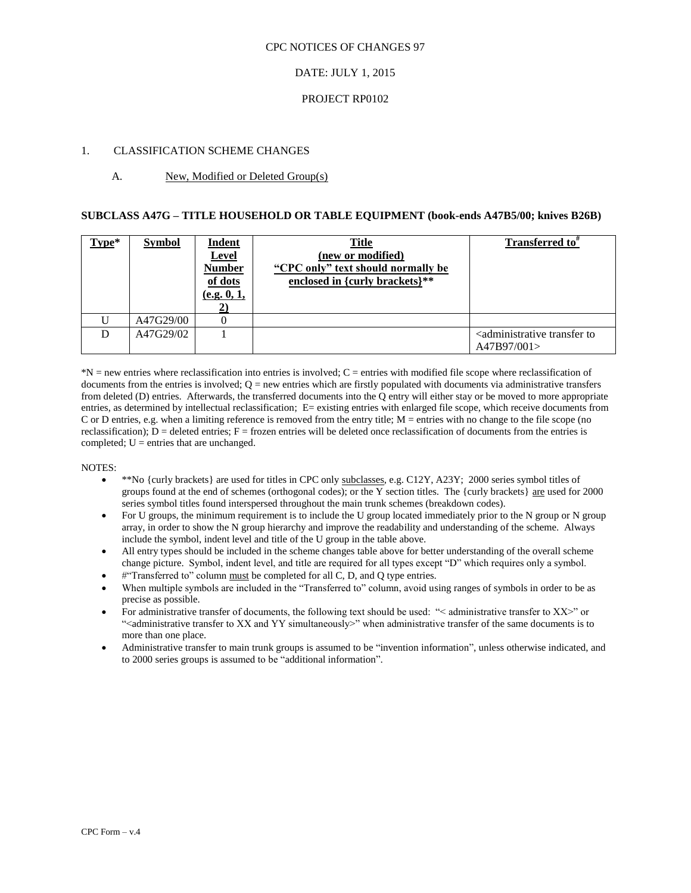# DATE: JULY 1, 2015

### PROJECT RP0102

# 1. CLASSIFICATION SCHEME CHANGES

# A. New, Modified or Deleted Group(s)

#### **SUBCLASS A47G – TITLE HOUSEHOLD OR TABLE EQUIPMENT (book-ends A47B5/00; knives B26B)**

| Type* | <b>Symbol</b> | Indent<br><b>Level</b><br><b>Number</b><br>of dots<br>(e.g. 0, 1, | Title<br>(new or modified)<br>"CPC only" text should normally be<br>enclosed in {curly brackets}** | Transferred to <sup>#</sup>                                          |
|-------|---------------|-------------------------------------------------------------------|----------------------------------------------------------------------------------------------------|----------------------------------------------------------------------|
|       | A47G29/00     |                                                                   |                                                                                                    |                                                                      |
| D     | A47G29/02     |                                                                   |                                                                                                    | <administrative to<br="" transfer="">A47B97/001&gt;</administrative> |

\*N = new entries where reclassification into entries is involved; C = entries with modified file scope where reclassification of documents from the entries is involved;  $Q =$  new entries which are firstly populated with documents via administrative transfers from deleted (D) entries. Afterwards, the transferred documents into the Q entry will either stay or be moved to more appropriate entries, as determined by intellectual reclassification; E= existing entries with enlarged file scope, which receive documents from C or D entries, e.g. when a limiting reference is removed from the entry title;  $M =$  entries with no change to the file scope (no reclassification);  $D =$  deleted entries;  $F =$  frozen entries will be deleted once reclassification of documents from the entries is completed;  $U =$  entries that are unchanged.

- \*\*No {curly brackets} are used for titles in CPC only subclasses, e.g. C12Y, A23Y; 2000 series symbol titles of groups found at the end of schemes (orthogonal codes); or the Y section titles. The {curly brackets} are used for 2000 series symbol titles found interspersed throughout the main trunk schemes (breakdown codes).
- For U groups, the minimum requirement is to include the U group located immediately prior to the N group or N group array, in order to show the N group hierarchy and improve the readability and understanding of the scheme. Always include the symbol, indent level and title of the U group in the table above.
- All entry types should be included in the scheme changes table above for better understanding of the overall scheme change picture. Symbol, indent level, and title are required for all types except "D" which requires only a symbol.
- #"Transferred to" column must be completed for all C, D, and O type entries.
- When multiple symbols are included in the "Transferred to" column, avoid using ranges of symbols in order to be as precise as possible.
- For administrative transfer of documents, the following text should be used: "< administrative transfer to XX>" or "<administrative transfer to XX and YY simultaneously>" when administrative transfer of the same documents is to more than one place.
- Administrative transfer to main trunk groups is assumed to be "invention information", unless otherwise indicated, and to 2000 series groups is assumed to be "additional information".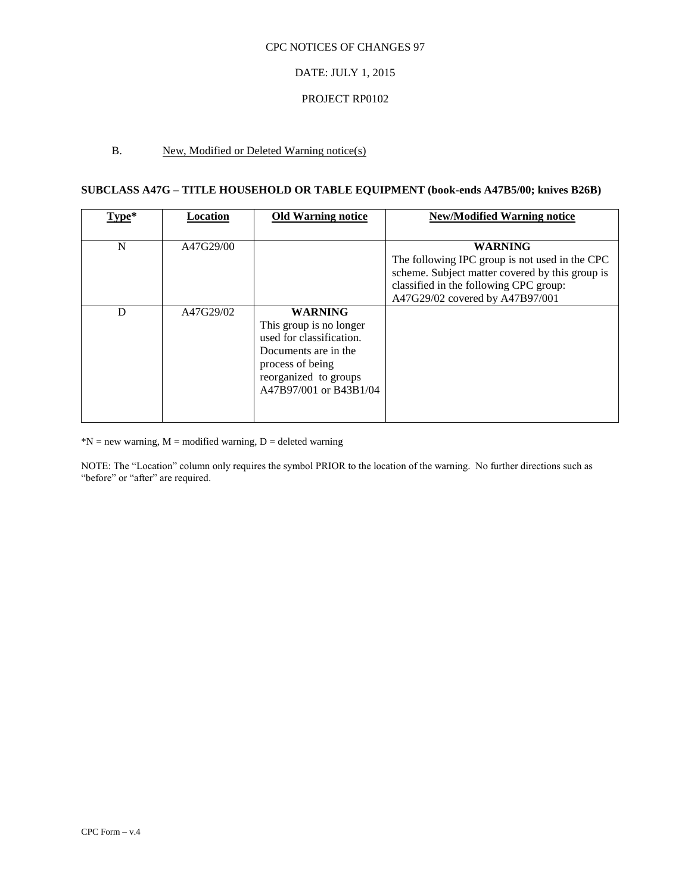# DATE: JULY 1, 2015

### PROJECT RP0102

# B. New, Modified or Deleted Warning notice(s)

# **SUBCLASS A47G – TITLE HOUSEHOLD OR TABLE EQUIPMENT (book-ends A47B5/00; knives B26B)**

| Type* | Location  | <b>Old Warning notice</b>                                                                                                                                            | <b>New/Modified Warning notice</b>                                                                                                                                                               |
|-------|-----------|----------------------------------------------------------------------------------------------------------------------------------------------------------------------|--------------------------------------------------------------------------------------------------------------------------------------------------------------------------------------------------|
| N     | A47G29/00 |                                                                                                                                                                      | <b>WARNING</b><br>The following IPC group is not used in the CPC<br>scheme. Subject matter covered by this group is<br>classified in the following CPC group:<br>A47G29/02 covered by A47B97/001 |
| D     | A47G29/02 | <b>WARNING</b><br>This group is no longer<br>used for classification.<br>Documents are in the<br>process of being<br>reorganized to groups<br>A47B97/001 or B43B1/04 |                                                                                                                                                                                                  |

 $N = new warning, M = modified warning, D = deleted warning$ 

NOTE: The "Location" column only requires the symbol PRIOR to the location of the warning. No further directions such as "before" or "after" are required.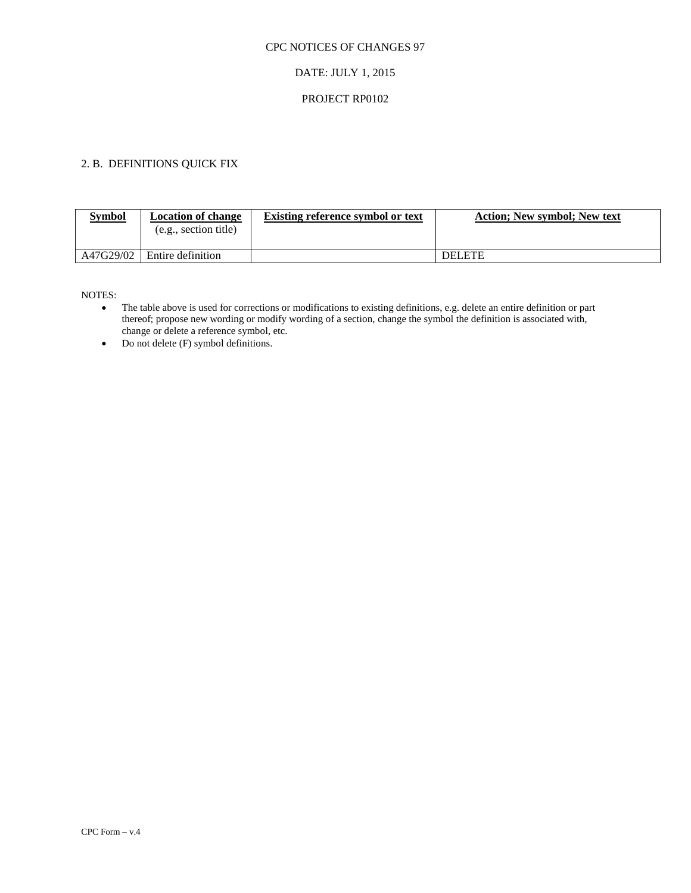# DATE: JULY 1, 2015

# PROJECT RP0102

# 2. B. DEFINITIONS QUICK FIX

| <b>Symbol</b> | <b>Location of change</b><br>(e.g., section title) | Existing reference symbol or text | <b>Action: New symbol: New text</b> |
|---------------|----------------------------------------------------|-----------------------------------|-------------------------------------|
| A47G29/02     | Entire definition                                  |                                   | <b>DELETE</b>                       |

- The table above is used for corrections or modifications to existing definitions, e.g. delete an entire definition or part thereof; propose new wording or modify wording of a section, change the symbol the definition is associated with, change or delete a reference symbol, etc.
- $\bullet$  Do not delete (F) symbol definitions.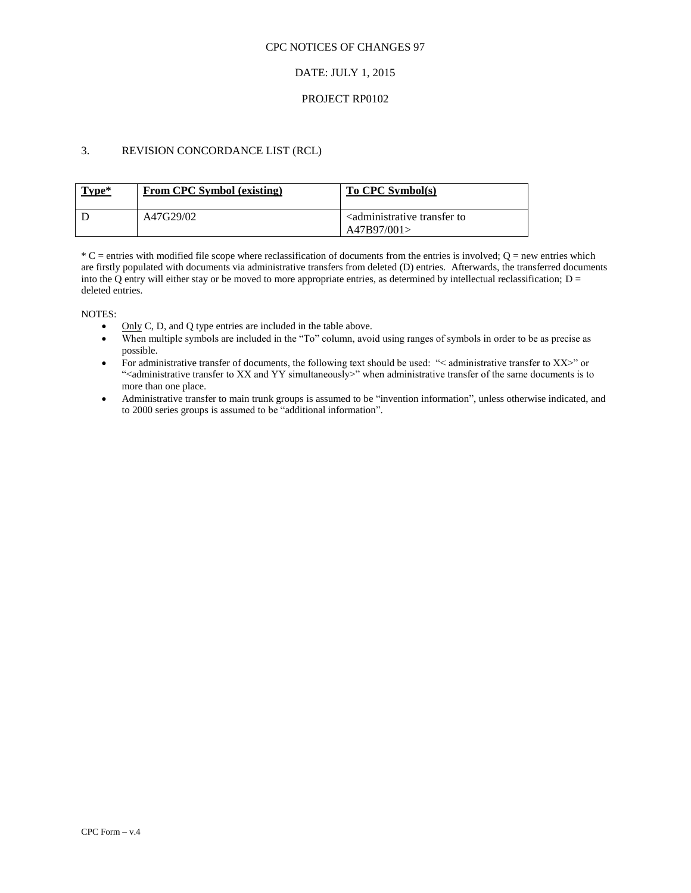# DATE: JULY 1, 2015

### PROJECT RP0102

# 3. REVISION CONCORDANCE LIST (RCL)

| Type* | From CPC Symbol (existing) | To CPC Symbol(s)                                                     |
|-------|----------------------------|----------------------------------------------------------------------|
|       | A47G29/02                  | <administrative to<br="" transfer="">A47B97/001&gt;</administrative> |

 $*C$  = entries with modified file scope where reclassification of documents from the entries is involved;  $Q$  = new entries which are firstly populated with documents via administrative transfers from deleted (D) entries. Afterwards, the transferred documents into the Q entry will either stay or be moved to more appropriate entries, as determined by intellectual reclassification;  $D =$ deleted entries.

- Only C, D, and Q type entries are included in the table above.
- When multiple symbols are included in the "To" column, avoid using ranges of symbols in order to be as precise as possible.
- For administrative transfer of documents, the following text should be used: "< administrative transfer to XX>" or ">
"<administrative transfer to XX and YY simultaneously>" when administrative transfer of the same documents is to more than one place.
- Administrative transfer to main trunk groups is assumed to be "invention information", unless otherwise indicated, and to 2000 series groups is assumed to be "additional information".